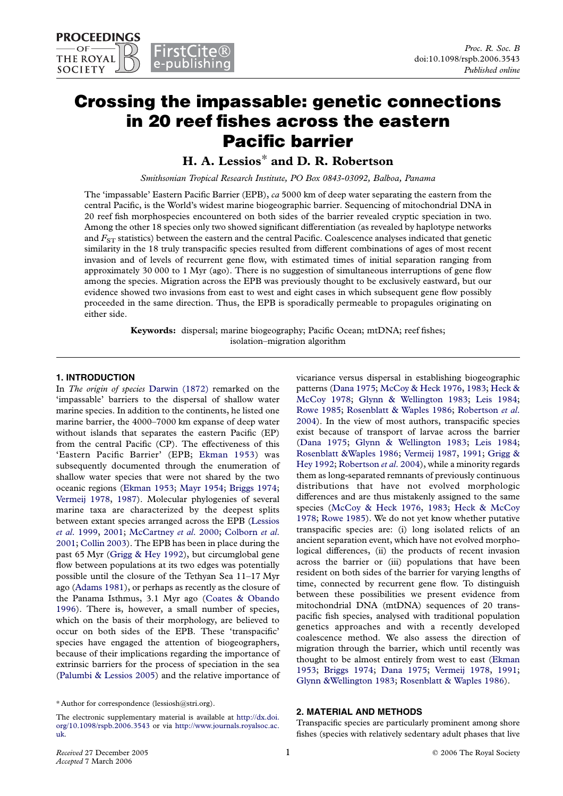# Crossing the impassable: genetic connections in 20 reef fishes across the eastern Pacific barrier

H. A. Lessios\* and D. R. Robertson

Smithsonian Tropical Research Institute, PO Box 0843-03092, Balboa, Panama

The 'impassable' Eastern Pacific Barrier (EPB), ca 5000 km of deep water separating the eastern from the central Pacific, is the World's widest marine biogeographic barrier. Sequencing of mitochondrial DNA in 20 reef fish morphospecies encountered on both sides of the barrier revealed cryptic speciation in two. Among the other 18 species only two showed significant differentiation (as revealed by haplotype networks and  $F_{ST}$  statistics) between the eastern and the central Pacific. Coalescence analyses indicated that genetic similarity in the 18 truly transpacific species resulted from different combinations of ages of most recent invasion and of levels of recurrent gene flow, with estimated times of initial separation ranging from approximately 30 000 to 1 Myr (ago). There is no suggestion of simultaneous interruptions of gene flow among the species. Migration across the EPB was previously thought to be exclusively eastward, but our evidence showed two invasions from east to west and eight cases in which subsequent gene flow possibly proceeded in the same direction. Thus, the EPB is sporadically permeable to propagules originating on either side.

> Keywords: dispersal; marine biogeography; Pacific Ocean; mtDNA; reef fishes; isolation–migration algorithm

# 1. INTRODUCTION

In The origin of species [Darwin](#page-7-0) (1872) remarked on the 'impassable' barriers to the dispersal of shallow water marine species. In addition to the continents, he listed one marine barrier, the 4000–7000 km expanse of deep water without islands that separates the eastern Pacific (EP) from the central Pacific (CP). The effectiveness of this 'Eastern Pacific Barrier' (EPB; [Ekman](#page-7-0) 1953) was subsequently documented through the enumeration of shallow water species that were not shared by the two oceanic regions [\(Ekman](#page-7-0) 1953; [Mayr](#page-7-0) 1954; [Briggs](#page-6-0) 1974; [Vermeij](#page-7-0) 1978, [1987\)](#page-7-0). Molecular phylogenies of several marine taxa are characterized by the deepest splits between extant species arranged across the EPB ([Lessios](#page-7-0) et al. [1999](#page-7-0), [2001](#page-7-0); [McCartney](#page-7-0) et al. 2000; [Colborn](#page-6-0) et al. [2001](#page-6-0); [Collin](#page-7-0) 2003). The EPB has been in place during the past 65 Myr [\(Grigg](#page-7-0) & Hey 1992), but circumglobal gene flow between populations at its two edges was potentially possible until the closure of the Tethyan Sea 11–17 Myr ago [\(Adams](#page-6-0) 1981), or perhaps as recently as the closure of the Panama Isthmus, 3.1 Myr ago (Coates & [Obando](#page-6-0) [1996](#page-6-0)). There is, however, a small number of species, which on the basis of their morphology, are believed to occur on both sides of the EPB. These 'transpacific' species have engaged the attention of biogeographers, because of their implications regarding the importance of extrinsic barriers for the process of speciation in the sea ([Palumbi](#page-7-0) & Lessios 2005) and the relative importance of

\* Author for correspondence (lessiosh@stri.org).

The electronic supplementary material is available at [http://dx.doi.](http://dx.doi.org/10.1098/rspb.2006.3543) [org/10.1098/rspb.2006.3543](http://dx.doi.org/10.1098/rspb.2006.3543) or via [http://www.journals.royalsoc.ac.](http://www.journals.royalsoc.ac.uk) [uk.](http://www.journals.royalsoc.ac.uk)

vicariance versus dispersal in establishing biogeographic patterns [\(Dana](#page-7-0) 1975; [McCoy](#page-7-0) & Heck 1976, [1983;](#page-7-0) [Heck](#page-7-0) & [McCoy](#page-7-0) 1978; Glynn & [Wellington](#page-7-0) 1983; Leis [1984;](#page-7-0) [Rowe](#page-7-0) 1985; [Rosenblatt](#page-7-0) & Waples 1986; [Robertson](#page-7-0) et al. [2004](#page-7-0)). In the view of most authors, transpacific species exist because of transport of larvae across the barrier ([Dana](#page-7-0) 1975; Glynn & [Wellington](#page-7-0) 1983; Leis [1984;](#page-7-0) [Rosenblatt](#page-7-0) &Waples 1986; [Vermeij](#page-7-0) 1987, [1991;](#page-7-0) [Grigg](#page-7-0) & Hey [1992](#page-7-0); [Robertson](#page-7-0) et al. 2004), while a minority regards them as long-separated remnants of previously continuous distributions that have not evolved morphologic differences and are thus mistakenly assigned to the same species [\(McCoy](#page-7-0) & Heck 1976, [1983](#page-7-0); Heck & [McCoy](#page-7-0) [1978](#page-7-0); [Rowe](#page-7-0) 1985). We do not yet know whether putative transpacific species are: (i) long isolated relicts of an ancient separation event, which have not evolved morphological differences, (ii) the products of recent invasion across the barrier or (iii) populations that have been resident on both sides of the barrier for varying lengths of time, connected by recurrent gene flow. To distinguish between these possibilities we present evidence from mitochondrial DNA (mtDNA) sequences of 20 transpacific fish species, analysed with traditional population genetics approaches and with a recently developed coalescence method. We also assess the direction of migration through the barrier, which until recently was thought to be almost entirely from west to east [\(Ekman](#page-7-0) [1953](#page-7-0); [Briggs](#page-6-0) 1974; [Dana](#page-7-0) 1975; [Vermeij](#page-7-0) 1978, [1991;](#page-7-0) Glynn [&Wellington](#page-7-0) 1983; [Rosenblatt](#page-7-0) & Waples 1986).

# 2. MATERIAL AND METHODS

Transpacific species are particularly prominent among shore fishes (species with relatively sedentary adult phases that live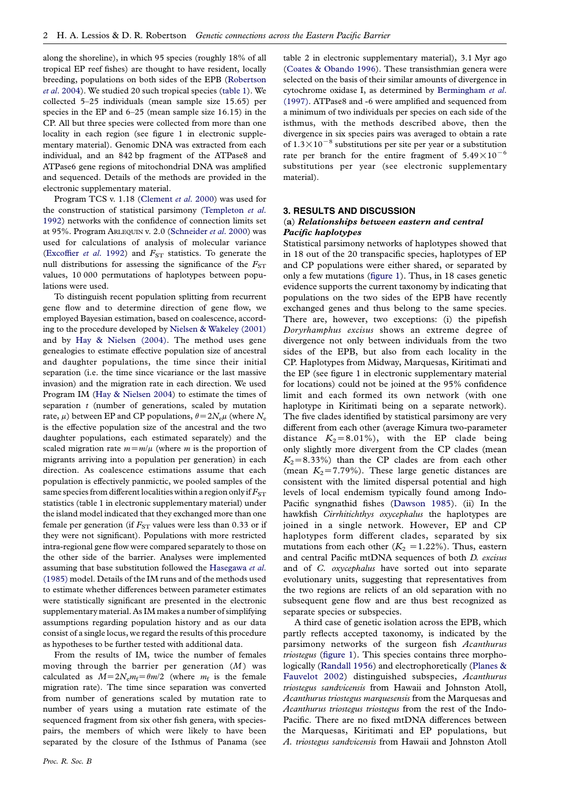along the shoreline), in which 95 species (roughly 18% of all tropical EP reef fishes) are thought to have resident, locally breeding, populations on both sides of the EPB ([Robertson](#page-7-0) et al. [2004\)](#page-7-0). We studied 20 such tropical species ([table](#page-2-0) 1). We collected 5–25 individuals (mean sample size 15.65) per species in the EP and  $6-25$  (mean sample size 16.15) in the CP. All but three species were collected from more than one locality in each region (see figure 1 in electronic supplementary material). Genomic DNA was extracted from each individual, and an 842 bp fragment of the ATPase8 and ATPase6 gene regions of mitochondrial DNA was amplified and sequenced. Details of the methods are provided in the electronic supplementary material.

Program TCS v. 1.18 ([Clement](#page-6-0) et al. 2000) was used for the construction of statistical parsimony [\(Templeton](#page-7-0) et al. [1992](#page-7-0)) networks with the confidence of connection limits set at 95%. Program ARLEQUIN v. 2.0 [\(Schneider](#page-7-0) et al. 2000) was used for calculations of analysis of molecular variance ([Excoffier](#page-7-0) *et al.* 1992) and  $F_{ST}$  statistics. To generate the null distributions for assessing the significance of the  $F_{ST}$ values, 10 000 permutations of haplotypes between populations were used.

To distinguish recent population splitting from recurrent gene flow and to determine direction of gene flow, we employed Bayesian estimation, based on coalescence, according to the procedure developed by Nielsen & [Wakeley](#page-7-0) (2001) and by Hay & [Nielsen](#page-7-0) (2004). The method uses gene genealogies to estimate effective population size of ancestral and daughter populations, the time since their initial separation (i.e. the time since vicariance or the last massive invasion) and the migration rate in each direction. We used Program IM (Hay & [Nielsen](#page-7-0) 2004) to estimate the times of separation  $t$  (number of generations, scaled by mutation rate,  $\mu$ ) between EP and CP populations,  $\theta = 2N_e\mu$  (where  $N_e$ is the effective population size of the ancestral and the two daughter populations, each estimated separately) and the scaled migration rate  $m=m/\mu$  (where m is the proportion of migrants arriving into a population per generation) in each direction. As coalescence estimations assume that each population is effectively panmictic, we pooled samples of the same species from different localities within a region only if  $F_{ST}$ statistics (table 1 in electronic supplementary material) under the island model indicated that they exchanged more than one female per generation (if  $F_{ST}$  values were less than 0.33 or if they were not significant). Populations with more restricted intra-regional gene flow were compared separately to those on the other side of the barrier. Analyses were implemented assuming that base substitution followed the [Hasegawa](#page-7-0) et al. [\(1985\)](#page-7-0) model. Details of the IM runs and of the methods used to estimate whether differences between parameter estimates were statistically significant are presented in the electronic supplementary material. As IM makes a number of simplifying assumptions regarding population history and as our data consist of a single locus, we regard the results of this procedure as hypotheses to be further tested with additional data.

From the results of IM, twice the number of females moving through the barrier per generation  $(M)$  was calculated as  $M=2N_{\rm e}m_{\rm f}=\theta m/2$  (where  $m_{\rm f}$  is the female migration rate). The time since separation was converted from number of generations scaled by mutation rate to number of years using a mutation rate estimate of the sequenced fragment from six other fish genera, with speciespairs, the members of which were likely to have been separated by the closure of the Isthmus of Panama (see table 2 in electronic supplementary material), 3.1 Myr ago (Coates & [Obando](#page-6-0) 1996). These transisthmian genera were selected on the basis of their similar amounts of divergence in cytochrome oxidase I, as determined by [Bermingham](#page-6-0) et al. [\(1997\)](#page-6-0). ATPase8 and -6 were amplified and sequenced from a minimum of two individuals per species on each side of the isthmus, with the methods described above, then the divergence in six species pairs was averaged to obtain a rate of  $1.3 \times 10^{-8}$  substitutions per site per year or a substitution rate per branch for the entire fragment of  $5.49 \times 10^{-6}$ substitutions per year (see electronic supplementary material).

### 3. RESULTS AND DISCUSSION

## (a) Relationships between eastern and central Pacific haplotypes

Statistical parsimony networks of haplotypes showed that in 18 out of the 20 transpacific species, haplotypes of EP and CP populations were either shared, or separated by only a few mutations [\(figure](#page-3-0) 1). Thus, in 18 cases genetic evidence supports the current taxonomy by indicating that populations on the two sides of the EPB have recently exchanged genes and thus belong to the same species. There are, however, two exceptions: (i) the pipefish Doryrhamphus excisus shows an extreme degree of divergence not only between individuals from the two sides of the EPB, but also from each locality in the CP. Haplotypes from Midway, Marquesas, Kiritimati and the EP (see figure 1 in electronic supplementary material for locations) could not be joined at the 95% confidence limit and each formed its own network (with one haplotype in Kiritimati being on a separate network). The five clades identified by statistical parsimony are very different from each other (average Kimura two-parameter distance  $K_2=8.01\%$ , with the EP clade being only slightly more divergent from the CP clades (mean  $K_2$ =8.33%) than the CP clades are from each other (mean  $K_2$ =7.79%). These large genetic distances are consistent with the limited dispersal potential and high levels of local endemism typically found among Indo-Pacific syngnathid fishes [\(Dawson](#page-7-0) 1985). (ii) In the hawkfish Cirrhitichthys oxycephalus the haplotypes are joined in a single network. However, EP and CP haplotypes form different clades, separated by six mutations from each other  $(K_2 = 1.22\%)$ . Thus, eastern and central Pacific mtDNA sequences of both D. excisus and of C. oxycephalus have sorted out into separate evolutionary units, suggesting that representatives from the two regions are relicts of an old separation with no subsequent gene flow and are thus best recognized as separate species or subspecies.

A third case of genetic isolation across the EPB, which partly reflects accepted taxonomy, is indicated by the parsimony networks of the surgeon fish Acanthurus triostegus [\(figure](#page-3-0) 1). This species contains three morphologically [\(Randall](#page-7-0) 1956) and electrophoretically [\(Planes](#page-7-0) & [Fauvelot](#page-7-0) 2002) distinguished subspecies, Acanthurus triostegus sandvicensis from Hawaii and Johnston Atoll, Acanthurus triostegus marquesensis from the Marquesas and Acanthurus triostegus triostegus from the rest of the Indo-Pacific. There are no fixed mtDNA differences between the Marquesas, Kiritimati and EP populations, but A. triostegus sandvicensis from Hawaii and Johnston Atoll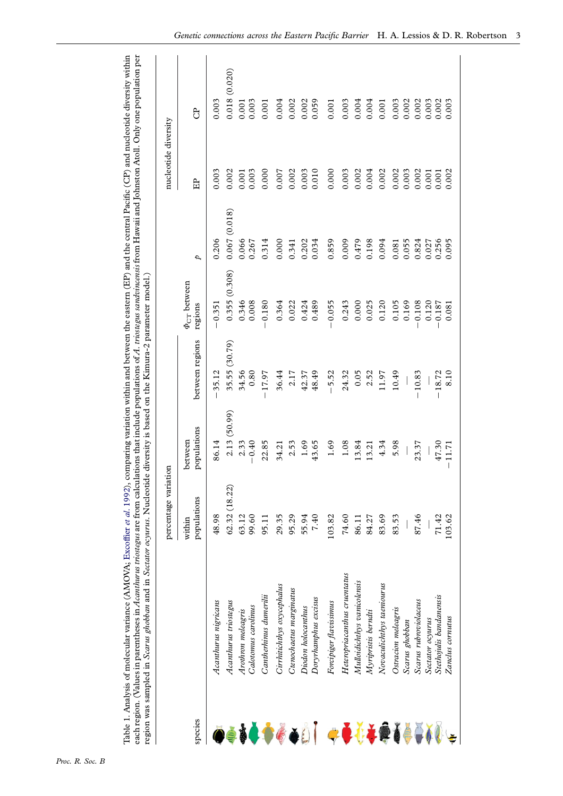<span id="page-2-0"></span>

| ਰ<br>≗                                                                                                  | mulation ner                                                                                 |                                                              |
|---------------------------------------------------------------------------------------------------------|----------------------------------------------------------------------------------------------|--------------------------------------------------------------|
|                                                                                                         | - awaii and Iohnston Atoll. Only one populari-                                               |                                                              |
|                                                                                                         | ostegus sandvincensis trom Hawai                                                             |                                                              |
| comparing variation within and between the eastern $(EP)$ and the central Pacific $(CP)$ and nucleotide | $18$ OI $A$ . <i>triostes</i>                                                                | e diversity is based on the Kimura-2 parameter model         |
|                                                                                                         | ממידה ונממים<br><b>Thomas Critical</b>                                                       |                                                              |
|                                                                                                         | each region. (Values in parentheses in <i>Acamburus triostegus</i> are from calculations the | r Nundent                                                    |
| Table 1. Analysis of molecular variance (AMOVA; Excoffier et al. 1992), co                              |                                                                                              | region was sampled in Scarus ghobban and in Sectator ocyurus |
|                                                                                                         |                                                                                              |                                                              |
|                                                                                                         |                                                                                              |                                                              |

|         |                              | percentage variation  |                        |                 |                                |                | nucleotide diversity |              |
|---------|------------------------------|-----------------------|------------------------|-----------------|--------------------------------|----------------|----------------------|--------------|
| species |                              | populations<br>within | populations<br>between | between regions | $\Phi_{CT}$ between<br>regions | Þ              | Ê                    | <sub>c</sub> |
|         | Acanthurus nigricans         | 48.98                 | 86.14                  | $-35.12$        | $-0.351$                       | 0.206          | 0.003                | 0.003        |
|         | Acanthurus triostegus        | 62.32 (18.22)         | 2.13 (50.99)           | 35.55 (30.79)   | 0.355(0.308)                   | 0.067(0.018)   | 0.002                | 0.018(0.020) |
|         | Arothron meleagris           | 63.12                 | 2.33                   | 34.56           | 0.346                          |                |                      | 0.001        |
|         | Calotomus carolinus          | 99.60                 | $-0.40$                | 0.80            | 0.008                          | 0.066<br>0.267 | 0.001                | 0.003        |
|         | Cantherhinus dumerilii       | 95.11                 | 22.85                  | $-17.97$        | $-0.180$                       | 0.314          | 0.000                | 0.001        |
|         | Cirrhitichthys oxycephalus   | 29.35                 | 34.21                  | 36.44           | 0.364                          | 0.000          | 0.007                | 0.004        |
|         | Ctenochaetus marginatus      | 95.29                 | 2.53                   | 2.17            | 0.022                          | 0.341          | 0.002                | 0.002        |
|         | Diodon holocanthus           | 55.94                 | 1.69                   | 42.37           | 0.424                          | 0.202          |                      | 0.002        |
|         | Doryrhamphus excisus         | 7.40                  | 43.65                  | 48.49           | 0.489                          | 0.034          | $0.003$<br>$0.010$   | 0.059        |
|         | Forcipiger flavissimus       | 103.82                | 1.69                   | $-5.52$         | $-0.055$                       | 0.859          | 0.000                | 0.001        |
|         | Heteropriacanthus cruentatus | 74.60                 | 1.08                   | 24.32           | 0.243                          | 0.009          | 0.003                | 0.003        |
|         | Mulloidichthys vanicolensis  | 86.11                 | 13.84                  | 0.05            | 0.000                          | 0.479          | 0.002                | 0.004        |
|         | Myripristis berndti          | 84.27                 | 13.21                  | 2.52            | 0.025                          | 0.198          | 0.004                | 0.004        |
|         | Novaculichthys taeniourus    | 83.69                 | 4.34                   | 11.97           | 0.120                          | 0.094          | 0.002                | 0.001        |
|         | Ostracion meleagris          | 83.53                 | 5.98                   | 10.49           | 0.105                          | 0.081          | 0.002                | 0.003        |
|         | Scarus ghobban               |                       |                        |                 | 0.169                          | 0.055          | 0.003                | 0.002        |
|         | Scarus rubroviolaceus        | 87.46                 | 23.37                  | 10.83           | $-0.108$                       | 0.824          | 0.002                | 0.002        |
|         | Sectator ocyurus             |                       |                        |                 | 0.120                          | 0.027          |                      | 0.003        |
|         | Stethojulis bandanensis      | 71.42                 | 47.30                  | $-18.72$        | $-0.187$                       | 0.256          | 0.001                | 0.002        |
|         | Zanclus cornutus             | 103.62                | $-11.71$               | 8.10            | 0.081                          | 0.095          | 0.002                | 0.003        |
|         |                              |                       |                        |                 |                                |                |                      |              |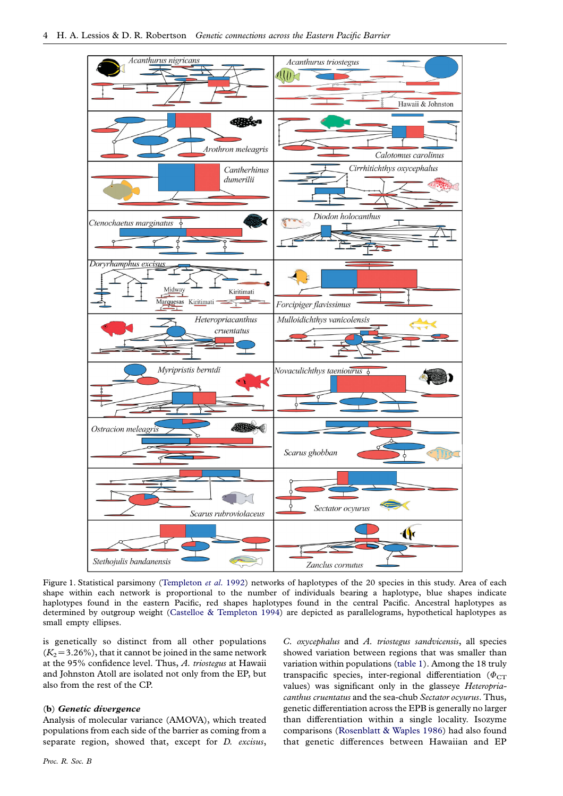<span id="page-3-0"></span>

Figure 1. Statistical parsimony [\(Templeton](#page-7-0) et al. 1992) networks of haplotypes of the 20 species in this study. Area of each shape within each network is proportional to the number of individuals bearing a haplotype, blue shapes indicate haplotypes found in the eastern Pacific, red shapes haplotypes found in the central Pacific. Ancestral haplotypes as determined by outgroup weight (Castelloe & [Templeton](#page-6-0) 1994) are depicted as parallelograms, hypothetical haplotypes as small empty ellipses.

is genetically so distinct from all other populations  $(K_2=3.26\%)$ , that it cannot be joined in the same network at the 95% confidence level. Thus, A. triostegus at Hawaii and Johnston Atoll are isolated not only from the EP, but also from the rest of the CP.

### (b) Genetic divergence

Analysis of molecular variance (AMOVA), which treated populations from each side of the barrier as coming from a separate region, showed that, except for *D. excisus*,

C. oxycephalus and A. triostegus sandvicensis, all species showed variation between regions that was smaller than variation within populations ([table](#page-2-0) 1). Among the 18 truly transpacific species, inter-regional differentiation ( $\Phi$ <sub>CT</sub> values) was significant only in the glasseye Heteropriacanthus cruentatus and the sea-chub Sectator ocyurus. Thus, genetic differentiation across the EPB is generally no larger than differentiation within a single locality. Isozyme comparisons ([Rosenblatt](#page-7-0) & Waples 1986) had also found that genetic differences between Hawaiian and EP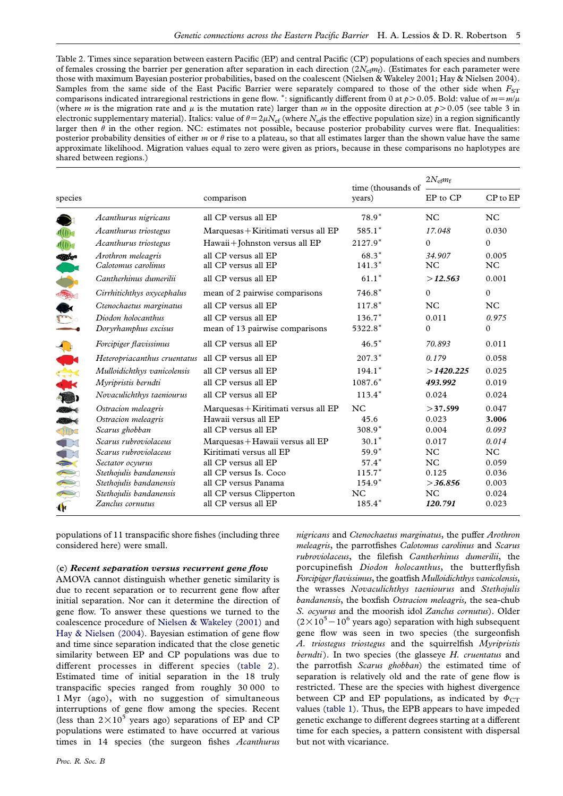<span id="page-4-0"></span>Table 2. Times since separation between eastern Pacific (EP) and central Pacific (CP) populations of each species and numbers of females crossing the barrier per generation after separation in each direction  $(2N_{\text{eff}}m_{\text{f}})$ . (Estimates for each parameter were those with maximum Bayesian posterior probabilities, based on the coalescent (Nielsen & Wakeley 2001; Hay & Nielsen 2004). Samples from the same side of the East Pacific Barrier were separately compared to those of the other side when  $F_{ST}$ comparisons indicated intraregional restrictions in gene flow.  $*$ : significantly different from 0 at  $p > 0.05$ . Bold: value of  $m = m/\mu$ (where *m* is the migration rate and  $\mu$  is the mutation rate) larger than *m* in the opposite direction at  $p > 0.05$  (see table 3 in electronic supplementary material). Italics: value of  $\theta = 2\mu N_{\rm ef}$  (where  $N_{\rm ef}$  is the effective population size) in a region significantly larger then  $\theta$  in the other region. NC: estimates not possible, because posterior probability curves were flat. Inequalities: posterior probability densities of either m or  $\theta$  rise to a plateau, so that all estimates larger than the shown value have the same approximate likelihood. Migration values equal to zero were given as priors, because in these comparisons no haplotypes are shared between regions.)

|                               |                                            |                                                         | time (thousands of<br>years) | $2N_{\text{eff}}m_{\text{f}}$ |                       |
|-------------------------------|--------------------------------------------|---------------------------------------------------------|------------------------------|-------------------------------|-----------------------|
| species                       | comparison                                 |                                                         |                              | EP to CP                      | $CP$ to $EP$          |
|                               | Acanthurus nigricans                       | all CP versus all EP                                    | $78.9*$                      | NC                            | NC                    |
|                               | Acanthurus triostegus                      | Marquesas + Kiritimati versus all EP                    | $585.1*$                     | 17.048                        | 0.030                 |
|                               | Acanthurus triostegus                      | Hawaii + Johnston versus all EP                         | 2127.9*                      | $\Omega$                      | $\Omega$              |
|                               | Arothron meleagris<br>Calotomus carolinus  | all CP versus all EP<br>all CP versus all EP            | $68.3*$<br>$141.3*$          | 34.907<br>NC                  | 0.005<br>NC           |
|                               | Cantherhinus dumerilii                     | all CP versus all EP                                    | $61.1*$                      | >12.563                       | 0.001                 |
|                               | Cirrhitichthys oxycephalus                 | mean of 2 pairwise comparisons                          | $746.8*$                     | $\mathbf{0}$                  | $\mathbf{0}$          |
|                               | Ctenochaetus marginatus                    | all CP versus all EP                                    | $117.8*$                     | NC                            | NC                    |
|                               | Diodon holocanthus<br>Doryrhamphus excisus | all CP versus all EP<br>mean of 13 pairwise comparisons | $136.7*$<br>5322.8*          | 0.011<br>$\mathbf{0}$         | 0.975<br>$\mathbf{0}$ |
|                               | Forcipiger flavissimus                     | all CP versus all EP                                    | $46.5*$                      | 70.893                        | 0.011                 |
|                               | Heteropriacanthus cruentatus               | all CP versus all EP                                    | $207.3*$                     | 0.179                         | 0.058                 |
|                               | Mulloidichthys vanicolensis                | all CP versus all EP                                    | $194.1*$                     | >1420.225                     | 0.025                 |
|                               | Myripristis berndti                        | all CP versus all EP                                    | 1087.6*                      | 493.992                       | 0.019                 |
| 自意会                           | Novaculichthys taeniourus                  | all CP versus all EP                                    | $113.4*$                     | 0.024                         | 0.024                 |
|                               | Ostracion meleagris                        | Marquesas + Kiritimati versus all EP                    | NC                           | >37.599                       | 0.047                 |
|                               | Ostracion meleagris                        | Hawaii versus all EP                                    | 45.6                         | 0.023                         | 3.006                 |
| <b>THE T</b>                  | Scarus ghobban                             | all CP versus all EP                                    | $308.9*$                     | 0.004                         | 0.093                 |
| IX                            | Scarus rubroviolaceus                      | Marquesas + Hawaii versus all EP                        | $30.1*$                      | 0.017                         | 0.014                 |
| $\langle 0   0   0   \rangle$ | Scarus rubroviolaceus                      | Kiritimati versus all EP                                | $59.9*$                      | NC                            | NC                    |
|                               | Sectator ocyurus                           | all CP versus all EP                                    | $57.4*$                      | NC                            | 0.059                 |
|                               | Stethojulis bandanensis                    | all CP versus Is. Coco                                  | $115.7*$                     | 0.125                         | 0.036                 |
|                               | Stethojulis bandanensis                    | all CP versus Panama                                    | 154.9*                       | >36.856                       | 0.003                 |
|                               | Stethojulis bandanensis                    | all CP versus Clipperton                                | NC                           | NC                            | 0.024                 |
| $\ddot{\bullet}$              | Zanclus cornutus                           | all CP versus all EP                                    | $185.4*$                     | 120.791                       | 0.023                 |

populations of 11 transpacific shore fishes (including three considered here) were small.

# (c) Recent separation versus recurrent gene flow

AMOVA cannot distinguish whether genetic similarity is due to recent separation or to recurrent gene flow after initial separation. Nor can it determine the direction of gene flow. To answer these questions we turned to the coalescence procedure of Nielsen & [Wakeley](#page-7-0) (2001) and Hay & [Nielsen](#page-7-0) (2004). Bayesian estimation of gene flow and time since separation indicated that the close genetic similarity between EP and CP populations was due to different processes in different species (table 2). Estimated time of initial separation in the 18 truly transpacific species ranged from roughly 30 000 to 1 Myr (ago), with no suggestion of simultaneous interruptions of gene flow among the species. Recent (less than  $2 \times 10^5$  years ago) separations of EP and CP populations were estimated to have occurred at various times in 14 species (the surgeon fishes Acanthurus

nigricans and Ctenochaetus marginatus, the puffer Arothron meleagris, the parrotfishes Calotomus carolinus and Scarus rubroviolaceus, the filefish Cantherhinus dumerilii, the porcupinefish Diodon holocanthus, the butterflyfish Forcipiger flavissimus, the goatfish Mulloidichthys vanicolensis, the wrasses Novaculichthys taeniourus and Stethojulis bandanensis, the boxfish Ostracion meleagris, the sea-chub S. ocyurus and the moorish idol Zanclus cornutus). Older  $(2 \times 10^5 - 10^6$  years ago) separation with high subsequent gene flow was seen in two species (the surgeonfish A. triostegus triostegus and the squirrelfish Myripristis  $b$ erndti). In two species (the glasseye  $H$ . cruentatus and the parrotfish Scarus ghobban) the estimated time of separation is relatively old and the rate of gene flow is restricted. These are the species with highest divergence between CP and EP populations, as indicated by  $\Phi$ <sub>CT</sub> values ([table](#page-2-0) 1). Thus, the EPB appears to have impeded genetic exchange to different degrees starting at a different time for each species, a pattern consistent with dispersal but not with vicariance.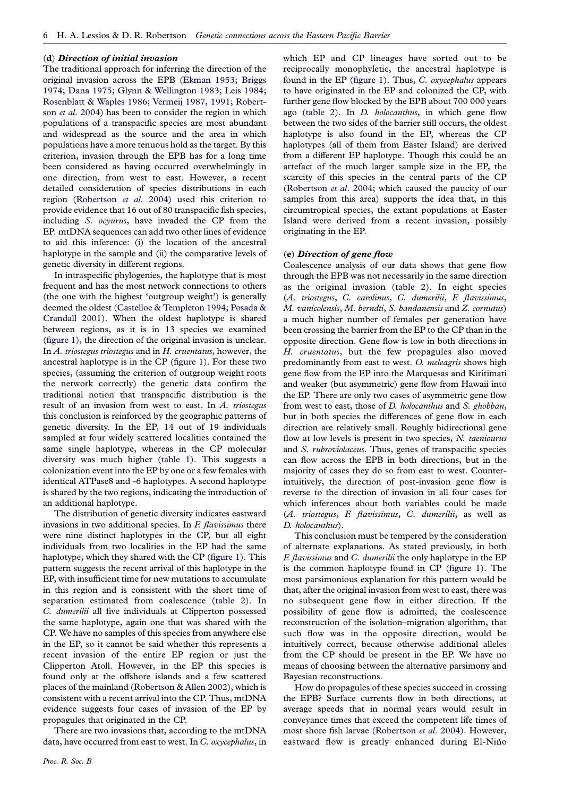## (d) Direction of initial invasion

The traditional approach for inferring the direction of the original invasion across the EPB [\(Ekman](#page-7-0) 1953; [Briggs](#page-6-0) [1974](#page-6-0); [Dana](#page-7-0) 1975; Glynn & [Wellington](#page-7-0) 1983; Leis [1984;](#page-7-0) [Rosenblatt](#page-7-0) & Waples 1986; [Vermeij](#page-7-0) 1987, [1991;](#page-7-0) [Robert-](#page-7-0)son et al. [2004\)](#page-7-0) has been to consider the region in which populations of a transpacific species are most abundant and widespread as the source and the area in which populations have a more tenuous hold as the target. By this criterion, invasion through the EPB has for a long time been considered as having occurred overwhelmingly in one direction, from west to east. However, a recent detailed consideration of species distributions in each region ([Robertson](#page-7-0) et al. 2004) used this criterion to provide evidence that 16 out of 80 transpacific fish species, including S. ocyurus, have invaded the CP from the EP. mtDNA sequences can add two other lines of evidence to aid this inference: (i) the location of the ancestral haplotype in the sample and (ii) the comparative levels of genetic diversity in different regions.

In intraspecific phylogenies, the haplotype that is most frequent and has the most network connections to others (the one with the highest 'outgroup weight') is generally deemed the oldest (Castelloe & [Templeton](#page-6-0) 1994; [Posada](#page-7-0) & [Crandall](#page-7-0) 2001). When the oldest haplotype is shared between regions, as it is in 13 species we examined ([figure](#page-3-0) 1), the direction of the original invasion is unclear. In A. triostegus triostegus and in H. cruentatus, however, the ancestral haplotype is in the CP ([figure](#page-3-0) 1). For these two species, (assuming the criterion of outgroup weight roots the network correctly) the genetic data confirm the traditional notion that transpacific distribution is the result of an invasion from west to east. In A. triostegus this conclusion is reinforced by the geographic patterns of genetic diversity. In the EP, 14 out of 19 individuals sampled at four widely scattered localities contained the same single haplotype, whereas in the CP molecular diversity was much higher [\(table](#page-2-0) 1). This suggests a colonization event into the EP by one or a few females with identical ATPase8 and -6 haplotypes. A second haplotype is shared by the two regions, indicating the introduction of an additional haplotype.

The distribution of genetic diversity indicates eastward invasions in two additional species. In  $F$ , flavissimus there were nine distinct haplotypes in the CP, but all eight individuals from two localities in the EP had the same haplotype, which they shared with the CP ([figure](#page-3-0) 1). This pattern suggests the recent arrival of this haplotype in the EP, with insufficient time for new mutations to accumulate in this region and is consistent with the short time of separation estimated from coalescence ([table](#page-4-0) 2). In C. dumerilii all five individuals at Clipperton possessed the same haplotype, again one that was shared with the CP. We have no samples of this species from anywhere else in the EP, so it cannot be said whether this represents a recent invasion of the entire EP region or just the Clipperton Atoll. However, in the EP this species is found only at the offshore islands and a few scattered places of the mainland ([Robertson](#page-7-0) & Allen 2002), which is consistent with a recent arrival into the CP. Thus, mtDNA evidence suggests four cases of invasion of the EP by propagules that originated in the CP.

There are two invasions that, according to the mtDNA data, have occurred from east to west. In C. oxycephalus, in

which EP and CP lineages have sorted out to be reciprocally monophyletic, the ancestral haplotype is found in the EP [\(figure](#page-3-0) 1). Thus, C. oxycephalus appears to have originated in the EP and colonized the CP, with further gene flow blocked by the EPB about 700 000 years ago [\(table](#page-4-0) 2). In D. holocanthus, in which gene flow between the two sides of the barrier still occurs, the oldest haplotype is also found in the EP, whereas the CP haplotypes (all of them from Easter Island) are derived from a different EP haplotype. Though this could be an artefact of the much larger sample size in the EP, the scarcity of this species in the central parts of the CP [\(Robertson](#page-7-0) et al. 2004; which caused the paucity of our samples from this area) supports the idea that, in this circumtropical species, the extant populations at Easter Island were derived from a recent invasion, possibly originating in the EP.

### (e) Direction of gene flow

Coalescence analysis of our data shows that gene flow through the EPB was not necessarily in the same direction as the original invasion ([table](#page-4-0) 2). In eight species (A. triostegus, C. carolinus, C. dumerilii, F. flavissimus, M. vanicolensis, M. berndti, S. bandanensis and Z. cornutus) a much higher number of females per generation have been crossing the barrier from the EP to the CP than in the opposite direction. Gene flow is low in both directions in H. cruentatus, but the few propagules also moved predominantly from east to west. O. meleagris shows high gene flow from the EP into the Marquesas and Kiritimati and weaker (but asymmetric) gene flow from Hawaii into the EP. There are only two cases of asymmetric gene flow from west to east, those of D. holocanthus and S. ghobban, but in both species the differences of gene flow in each direction are relatively small. Roughly bidirectional gene flow at low levels is present in two species, N. taeniourus and S. rubroviolaceus. Thus, genes of transpacific species can flow across the EPB in both directions, but in the majority of cases they do so from east to west. Counterintuitively, the direction of post-invasion gene flow is reverse to the direction of invasion in all four cases for which inferences about both variables could be made (A. triostegus, F. flavissimus, C. dumerilii, as well as D. holocanthus).

This conclusion must be tempered by the consideration of alternate explanations. As stated previously, in both F. flavissimus and C. dumerilii the only haplotype in the EP is the common haplotype found in CP ([figure](#page-3-0) 1). The most parsimonious explanation for this pattern would be that, after the original invasion from west to east, there was no subsequent gene flow in either direction. If the possibility of gene flow is admitted, the coalescence reconstruction of the isolation–migration algorithm, that such flow was in the opposite direction, would be intuitively correct, because otherwise additional alleles from the CP should be present in the EP. We have no means of choosing between the alternative parsimony and Bayesian reconstructions.

How do propagules of these species succeed in crossing the EPB? Surface currents flow in both directions, at average speeds that in normal years would result in conveyance times that exceed the competent life times of most shore fish larvae ([Robertson](#page-7-0) et al. 2004). However, eastward flow is greatly enhanced during El-Niño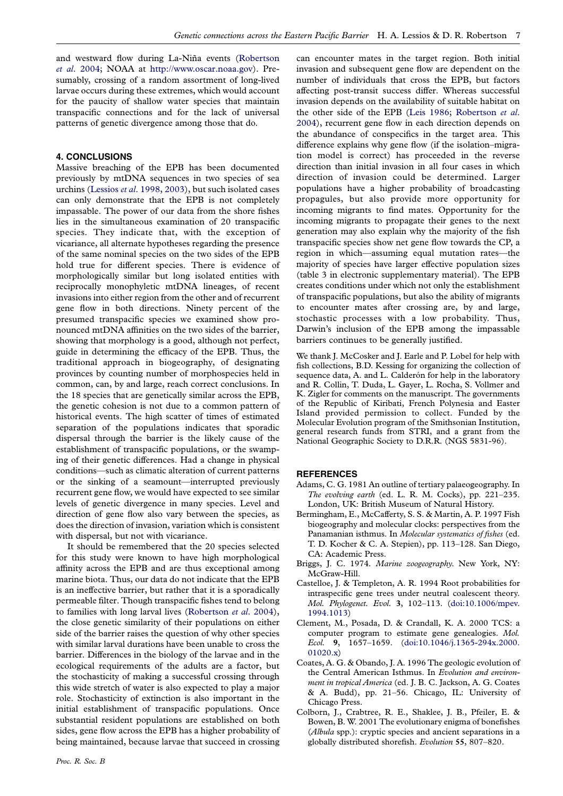<span id="page-6-0"></span>and westward flow during La-Niña events [\(Robertson](#page-7-0) et al. [2004;](#page-7-0) NOAA at <http://www.oscar.noaa.gov>). Presumably, crossing of a random assortment of long-lived larvae occurs during these extremes, which would account for the paucity of shallow water species that maintain transpacific connections and for the lack of universal patterns of genetic divergence among those that do.

## 4. CONCLUSIONS

Massive breaching of the EPB has been documented previously by mtDNA sequences in two species of sea urchins ([Lessios](#page-7-0) et al. 1998, [2003\)](#page-7-0), but such isolated cases can only demonstrate that the EPB is not completely impassable. The power of our data from the shore fishes lies in the simultaneous examination of 20 transpacific species. They indicate that, with the exception of vicariance, all alternate hypotheses regarding the presence of the same nominal species on the two sides of the EPB hold true for different species. There is evidence of morphologically similar but long isolated entities with reciprocally monophyletic mtDNA lineages, of recent invasions into either region from the other and of recurrent gene flow in both directions. Ninety percent of the presumed transpacific species we examined show pronounced mtDNA affinities on the two sides of the barrier, showing that morphology is a good, although not perfect, guide in determining the efficacy of the EPB. Thus, the traditional approach in biogeography, of designating provinces by counting number of morphospecies held in common, can, by and large, reach correct conclusions. In the 18 species that are genetically similar across the EPB, the genetic cohesion is not due to a common pattern of historical events. The high scatter of times of estimated separation of the populations indicates that sporadic dispersal through the barrier is the likely cause of the establishment of transpacific populations, or the swamping of their genetic differences. Had a change in physical conditions—such as climatic alteration of current patterns or the sinking of a seamount—interrupted previously recurrent gene flow, we would have expected to see similar levels of genetic divergence in many species. Level and direction of gene flow also vary between the species, as does the direction of invasion, variation which is consistent with dispersal, but not with vicariance.

It should be remembered that the 20 species selected for this study were known to have high morphological affinity across the EPB and are thus exceptional among marine biota. Thus, our data do not indicate that the EPB is an ineffective barrier, but rather that it is a sporadically permeable filter. Though transpacific fishes tend to belong to families with long larval lives ([Robertson](#page-7-0) et al. 2004), the close genetic similarity of their populations on either side of the barrier raises the question of why other species with similar larval durations have been unable to cross the barrier. Differences in the biology of the larvae and in the ecological requirements of the adults are a factor, but the stochasticity of making a successful crossing through this wide stretch of water is also expected to play a major role. Stochasticity of extinction is also important in the initial establishment of transpacific populations. Once substantial resident populations are established on both sides, gene flow across the EPB has a higher probability of being maintained, because larvae that succeed in crossing

can encounter mates in the target region. Both initial invasion and subsequent gene flow are dependent on the number of individuals that cross the EPB, but factors affecting post-transit success differ. Whereas successful invasion depends on the availability of suitable habitat on the other side of the EPB (Leis [1986;](#page-7-0) [Robertson](#page-7-0) et al. [2004](#page-7-0)), recurrent gene flow in each direction depends on the abundance of conspecifics in the target area. This difference explains why gene flow (if the isolation–migration model is correct) has proceeded in the reverse direction than initial invasion in all four cases in which direction of invasion could be determined. Larger populations have a higher probability of broadcasting propagules, but also provide more opportunity for incoming migrants to find mates. Opportunity for the incoming migrants to propagate their genes to the next generation may also explain why the majority of the fish transpacific species show net gene flow towards the CP, a region in which—assuming equal mutation rates—the majority of species have larger effective population sizes (table 3 in electronic supplementary material). The EPB creates conditions under which not only the establishment of transpacific populations, but also the ability of migrants to encounter mates after crossing are, by and large, stochastic processes with a low probability. Thus, Darwin's inclusion of the EPB among the impassable barriers continues to be generally justified.

We thank J. McCosker and J. Earle and P. Lobel for help with fish collections, B.D. Kessing for organizing the collection of sequence data, A. and L. Calderón for help in the laboratory and R. Collin, T. Duda, L. Gayer, L. Rocha, S. Vollmer and K. Zigler for comments on the manuscript. The governments of the Republic of Kiribati, French Polynesia and Easter Island provided permission to collect. Funded by the Molecular Evolution program of the Smithsonian Institution, general research funds from STRI, and a grant from the National Geographic Society to D.R.R. (NGS 5831-96).

#### **REFERENCES**

- Adams, C. G. 1981 An outline of tertiary palaeogeography. In The evolving earth (ed. L. R. M. Cocks), pp. 221–235. London, UK: British Museum of Natural History.
- Bermingham, E., McCafferty, S. S. & Martin, A. P. 1997 Fish biogeography and molecular clocks: perspectives from the Panamanian isthmus. In Molecular systematics of fishes (ed. T. D. Kocher & C. A. Stepien), pp. 113–128. San Diego, CA: Academic Press.
- Briggs, J. C. 1974. Marine zoogeography. New York, NY: McGraw-Hill.
- Castelloe, J. & Templeton, A. R. 1994 Root probabilities for intraspecific gene trees under neutral coalescent theory. Mol. Phylogenet. Evol. 3, 102–113. [\(doi:10.1006/mpev.](http://dx.doi.org/doi:10.1006/mpev.1994.1013) [1994.1013](http://dx.doi.org/doi:10.1006/mpev.1994.1013))
- Clement, M., Posada, D. & Crandall, K. A. 2000 TCS: a computer program to estimate gene genealogies. Mol. Ecol. 9, 1657–1659. [\(doi:10.1046/j.1365-294x.2000.](http://dx.doi.org/doi:10.1046/j.1365-294x.2000.01020.x) [01020.x](http://dx.doi.org/doi:10.1046/j.1365-294x.2000.01020.x))
- Coates, A. G. & Obando, J. A. 1996 The geologic evolution of the Central American Isthmus. In Evolution and environment in tropical America (ed. J. B. C. Jackson, A. G. Coates & A. Budd), pp. 21–56. Chicago, IL: University of Chicago Press.
- Colborn, J., Crabtree, R. E., Shaklee, J. B., Pfeiler, E. & Bowen, B. W. 2001 The evolutionary enigma of bonefishes (Albula spp.): cryptic species and ancient separations in a globally distributed shorefish. Evolution 55, 807–820.